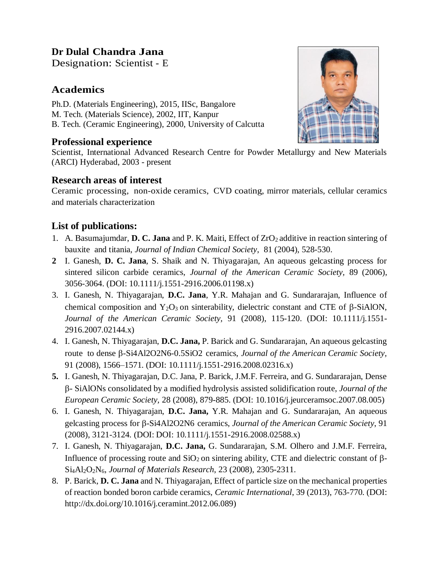# **Dr Dulal Chandra Jana**

Designation: Scientist - E

## **Academics**

Ph.D. (Materials Engineering), 2015, IISc, Bangalore M. Tech. (Materials Science), 2002, IIT, Kanpur B. Tech. (Ceramic Engineering), 2000, University of Calcutta

### **Professional experience**

Scientist, International Advanced Research Centre for Powder Metallurgy and New Materials (ARCI) Hyderabad, 2003 - present

### **Research areas of interest**

Ceramic processing, non-oxide ceramics, CVD coating, mirror materials, cellular ceramics and materials characterization

### **List of publications:**

- 1. A. Basumajumdar, **D. C. Jana** and P. K. Maiti, Effect of ZrO<sub>2</sub> additive in reaction sintering of bauxite and titania, *Journal of Indian Chemical Society*, 81 (2004), 528-530.
- **2** I. Ganesh, **D. C. Jana**, S. Shaik and N. Thiyagarajan, An aqueous gelcasting process for sintered silicon carbide ceramics, *Journal of the American Ceramic Society,* 89 (2006), 3056-3064. (DOI: 10.1111/j.1551-2916.2006.01198.x)
- 3. I. Ganesh, N. Thiyagarajan, **D.C. Jana**, Y.R. Mahajan and G. Sundararajan, Influence of chemical composition and  $Y_2O_3$  on sinterability, dielectric constant and CTE of  $\beta$ -SiAlON, *Journal of the American Ceramic Society,* 91 (2008), 115-120. (DOI: 10.1111/j.1551- 2916.2007.02144.x)
- 4. I. Ganesh, N. Thiyagarajan, **D.C. Jana,** P. Barick and G. Sundararajan, An aqueous gelcasting route to dense  $\beta$ -Si4Al2O2N6-0.5SiO2 ceramics, *Journal of the American Ceramic Society*, 91 (2008), 1566–1571. (DOI: 10.1111/j.1551-2916.2008.02316.x)
- **5.** I. Ganesh, N. Thiyagarajan, D.C. Jana, P. Barick, J.M.F. Ferreira, and G. Sundararajan, Dense - SiAlONs consolidated by a modified hydrolysis assisted solidification route, *Journal of the European Ceramic Society,* 28 (2008), 879-885. (DOI: 10.1016/j.jeurceramsoc.2007.08.005)
- 6. I. Ganesh, N. Thiyagarajan, **D.C. Jana,** Y.R. Mahajan and G. Sundararajan, An aqueous gelcasting process for  $\beta$ -Si4Al2O2N6 ceramics, *Journal of the American Ceramic Society*, 91 (2008), 3121-3124. (DOI: DOI: 10.1111/j.1551-2916.2008.02588.x)
- 7. I. Ganesh, N. Thiyagarajan, **D.C. Jana,** G. Sundararajan, S.M. Olhero and J.M.F. Ferreira, Influence of processing route and  $SiO<sub>2</sub>$  on sintering ability, CTE and dielectric constant of  $\beta$ -Si4Al2O2N6, *Journal of Materials Research*, 23 (2008), 2305-2311.
- 8. P. Barick, **D. C. Jana** and N. Thiyagarajan, Effect of particle size on the mechanical properties of reaction bonded boron carbide ceramics, *Ceramic International*, 39 (2013), 763-770. (DOI: http://dx.doi.org/10.1016/j.ceramint.2012.06.089)

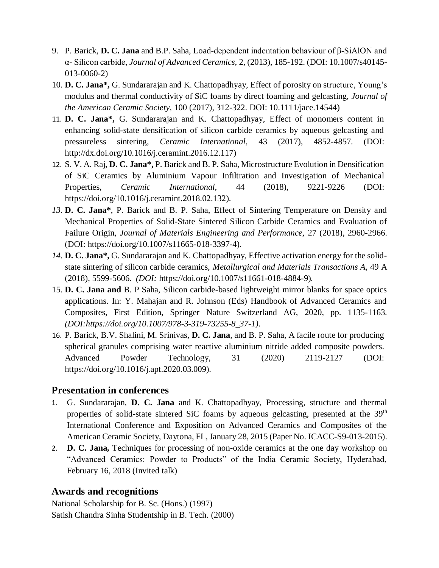- 9. P. Barick, **D. C. Jana** and B.P. Saha, Load-dependent indentation behaviour of β-SiAlON and α Silicon carbide, *Journal of Advanced Ceramics,* 2, (2013), 185-192. (DOI: 10.1007/s40145- 013-0060-2)
- 10. **D. C. Jana\*,** G. Sundararajan and K. Chattopadhyay, Effect of porosity on structure, Young's modulus and thermal conductivity of SiC foams by direct foaming and gelcasting, *Journal of the American Ceramic Society,* 100 (2017), 312-322. DOI: 10.1111/jace.14544)
- 11. **D. C. Jana\*,** G. Sundararajan and K. Chattopadhyay, Effect of monomers content in enhancing solid-state densification of silicon carbide ceramics by aqueous gelcasting and pressureless sintering, *Ceramic International,* 43 (2017), 4852-4857. (DOI: http://dx.doi.org/10.1016/j.ceramint.2016.12.117)
- 12. S. V. A. Raj, **D. C. Jana\*,** P. Barick and B. P. Saha, Microstructure Evolution in Densification of SiC Ceramics by Aluminium Vapour Infiltration and Investigation of Mechanical Properties, *Ceramic International,* 44 (2018), 9221-9226 (DOI: [https://doi.org/10.1016/j.ceramint.2018.02.132\)](https://doi.org/10.1016/j.ceramint.2018.02.132).
- *13.* **D. C. Jana\***, P. Barick and B. P. Saha, Effect of Sintering Temperature on Density and Mechanical Properties of Solid-State Sintered Silicon Carbide Ceramics and Evaluation of Failure Origin, *Journal of Materials Engineering and Performance,* 27 (2018), 2960-2966. (DOI: [https://doi.org/10.1007/s11665-018-3397-4\)](https://doi.org/10.1007/s11665-018-3397-4).
- *14.* **D. C. Jana\*,** G. Sundararajan and K. Chattopadhyay, Effective activation energy for the solidstate sintering of silicon carbide ceramics, *Metallurgical and Materials Transactions A,* 49 A (2018), 5599-5606. *(DOI:* https://doi.org/10.1007/s11661-018-4884-9)*.*
- 15. **D. C. Jana and** B. P Saha, Silicon carbide-based lightweight mirror blanks for space optics applications. In: Y. Mahajan and R. Johnson (Eds) Handbook of Advanced Ceramics and Composites, First Edition, Springer Nature Switzerland AG, 2020, pp. 1135-1163. *(DOI:https://doi.org/10.1007/978-3-319-73255-8\_37-1)*.
- 16. P. Barick, B.V. Shalini, M. Srinivas, **D. C. Jana**, and B. P. Saha, A facile route for producing spherical granules comprising water reactive aluminium nitride added composite powders. Advanced Powder Technology, 31 (2020) 2119-2127 (DOI: https://doi.org/10.1016/j.apt.2020.03.009).

#### **Presentation in conferences**

- 1. G. Sundararajan, **D. C. Jana** and K. Chattopadhyay, Processing, structure and thermal properties of solid-state sintered SiC foams by aqueous gelcasting, presented at the 39<sup>th</sup> International Conference and Exposition on Advanced Ceramics and Composites of the American Ceramic Society, Daytona, FL, January 28, 2015 (Paper No. ICACC-S9-013-2015).
- 2. **D. C. Jana,** Techniques for processing of non-oxide ceramics at the one day workshop on "Advanced Ceramics: Powder to Products" of the India Ceramic Society, Hyderabad, February 16, 2018 (Invited talk)

#### **Awards and recognitions**

National Scholarship for B. Sc. (Hons.) (1997) Satish Chandra Sinha Studentship in B. Tech. (2000)